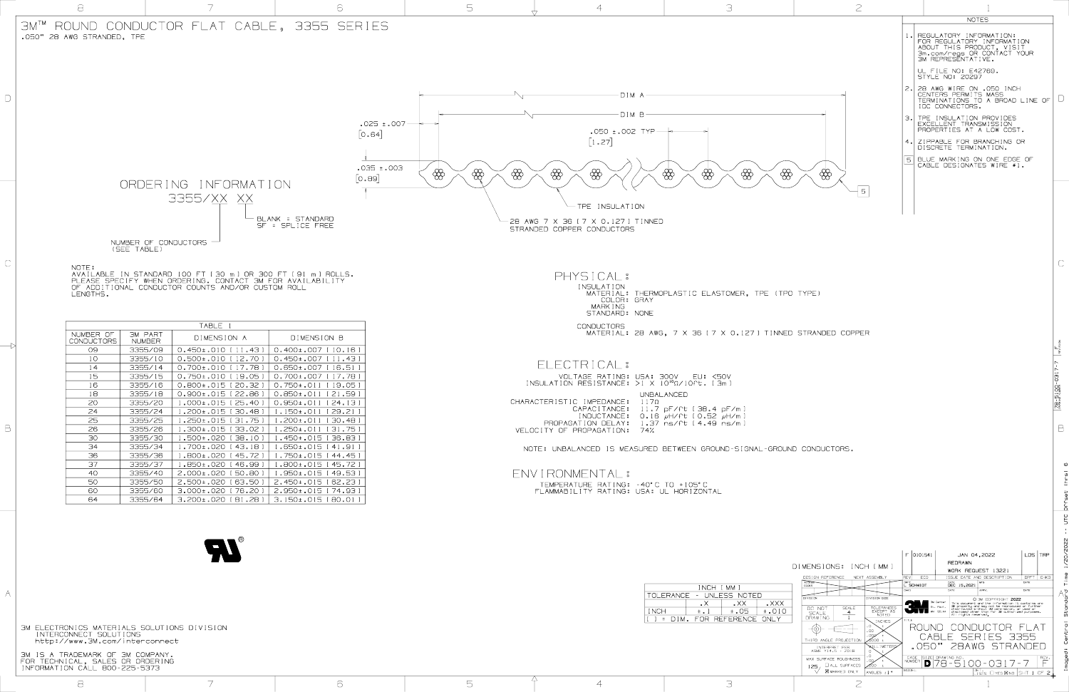3M IS A TRADEMARK OF 3M COMPANY. FOR TECHNICAL, SALES OR ORDERING INFORMATION CALL 800-225-5373

http://www.3M.com/interconnect

|                                                                                                                                                                                                                                                                                                                                                                                                                                                                                                                | FOR REGULATORY IN<br>ABOUT THIS PRODUC<br>3m.com/regs OR CO<br>3M REPRESENTATIVE<br>UL FILE NO: E4276<br>  style no: 20297<br>2. Z8 AWG WIRE ON .O<br>CENTERS PERMITS M<br>$-DIMA$<br>TERMINATIONS TO A<br>IDC CONNECTORS.                                                                                                        |
|----------------------------------------------------------------------------------------------------------------------------------------------------------------------------------------------------------------------------------------------------------------------------------------------------------------------------------------------------------------------------------------------------------------------------------------------------------------------------------------------------------------|-----------------------------------------------------------------------------------------------------------------------------------------------------------------------------------------------------------------------------------------------------------------------------------------------------------------------------------|
|                                                                                                                                                                                                                                                                                                                                                                                                                                                                                                                | $-DIMB-$<br>  TPE INSULATION PR<br>  excellent transmi<br>$.025 \pm .007$ —<br>PROPERTIES AT A LI<br>$\bullet$ 050 ±.002 TYP $\longrightarrow$<br>[0.64]<br>$\begin{bmatrix} 1 & 27 \end{bmatrix}$<br>4. ZIPPABLE FOR BRAND<br>DISCRETE TERMINAT<br>   BLUE MARKING ON O<br>  CABLE DESIGNATES                                    |
| ORDERING INFORMATION<br>3355/XX XX                                                                                                                                                                                                                                                                                                                                                                                                                                                                             | EOO: 1.75<br>$\bigotimes$<br>$\bigotimes$<br>$\bigotimes$<br>$\bigotimes$<br>$\bigoplus$<br>$\bigotimes$<br>$\bigoplus$<br>$\bigotimes$<br>$\bigotimes$<br>$\bigotimes$<br>[0.89]<br>- TPE INSULATION                                                                                                                             |
| - BLANK = STANDARD<br>SF = SPLICE FREE<br>NUMBER OF CONDUCTORS $-$<br>(SEE TABLE)                                                                                                                                                                                                                                                                                                                                                                                                                              | -28 AWG 7 X 36 [ 7 X 0.127 ] TINNED<br>STRANDED COPPER CONDUCTORS                                                                                                                                                                                                                                                                 |
| NOTE:<br>AVAILABLE IN STANDARD 100 FT [30 m ] OR 300 FT [91 m ] ROLLS.<br>PLEASE SPECIFY WHEN ORDERING. CONTACT 3M FOR AVAILABILITY<br>OF ADDITIONAL CONDUCTOR COUNTS AND/OR CUSTOM ROLL<br>LENGTHS.                                                                                                                                                                                                                                                                                                           | PHYSICAL:<br>INSULATION<br>MATERIAL: THERMOPLASTIC ELASTOMER, TPE (TPO TYPE)<br>COLOR: GRAY<br>MARK I NG<br>STANDARD: NONE                                                                                                                                                                                                        |
| TABLE .<br>NUMBER OF<br>3M PART<br>DIMENSION A<br>DIMENSION B<br>CONDUCTORS<br><b>NUMBER</b><br>09<br>3355/09<br>0.450±.010 [11.43]<br>0.400±.007 [10.16]<br>0.500±.010 [12.70]<br>,450±.007 [11.43]<br>10<br>3355/10                                                                                                                                                                                                                                                                                          | <b>CONDUCTORS</b><br>MATERIAL: 28 AWG, 7 X 36 [ 7 X 0.127 ] TINNED STRANDED COPPER<br>ELECTRICAL:                                                                                                                                                                                                                                 |
| 0.700±.010 [17.78]<br>3355/14<br>.650±.007 [16.51<br>14<br>15<br>0.750±.010 [19.05]<br>3355/15<br>0.700±.007 [ 17.78 ]<br>0.800±.015 [20.32 ]<br>16<br>3355/16<br>0.750±.011 [19.05]<br>$0.900\pm.015$ [ 22.86 ]   0.850 $\pm.011$ [ 21.59 ]<br>3355/18<br>18<br>20<br>1.000±.015 [25.40]<br>0.950±.011 [24.13]<br>3355/20<br>.150±.011 [29.21]<br>24<br>3355/24<br>1.200±.015 [30.48]<br>25<br>.250±.015 [31.75]<br>.200±.011 [30.48]<br>3355/25<br>26<br>1.300±.015 [33.02 ]<br>.250±.011 [31.75]<br>3355/26 | VOLTAGE RATING: USA: 300V EU: <50V<br>INSULATION RESISTANCE: $>1$ X $10^{10}$ $\Omega$ / 10ft. [3m ]<br>UNBALANCED<br>$CHARACTERISTIC IMPEDANCE: 117\Omega$<br>CAPACITANCE: 11.7 pF/ft [38.4 pF/m ]<br>INDUCTANCE: 0.16 $\mu$ H/ft [0.52 $\mu$ H/m ]<br>PROPAGATION DELAY: 1.37 ns/ft [4.49 ns/m]<br>VELOCITY OF PROPAGATION: 74% |
| 30<br>1.500±.020 [38.10 ]<br>.450±.015 [36.83 ]<br>3355/30<br>34<br>3355/34<br>1.700±.020 [43.18 ]<br>.650±.015 [41.91 ]<br>36<br>1.800±.020 [45.72 ]<br>3355/36<br>$.750 \pm .015$ [44.45]<br>37<br>1.850±.020 [46.99 ]<br>.800±.015 [45.72 ]<br>3355/37<br>40<br>3355/40<br>2.000±.020 [50.80 ]<br>.950±.015 [49.53 ]<br>50<br>2.500±.020 [63.50 ]<br>3355/50<br>2.450±.015 [62.23]<br>60<br>3.000±.020 [ 76.20 ]<br>3355/60<br>2.950±.015 [ 74.93 ]                                                         | NOTE: UNBALANCED IS MEASURED BETWEEN GROUND-SIGNAL-GROUND CONDUCTORS.<br>ENVIRONMENTAL :<br>TEMPERATURE RATING: -40°C TO +105°C<br>FLAMMABILITY RATING: USA: UL HORIZONTAL                                                                                                                                                        |
| $3.200 \pm .020$ [81.28]<br>3.150±.015 [80.01 ]<br>64<br>3355/64<br>R                                                                                                                                                                                                                                                                                                                                                                                                                                          |                                                                                                                                                                                                                                                                                                                                   |
|                                                                                                                                                                                                                                                                                                                                                                                                                                                                                                                | $\vert$ F $\vert$ 0101541 $\vert$                                                                                                                                                                                                                                                                                                 |



| INCH [ MM ]              |                 |                                    |            |  |  |  |  |
|--------------------------|-----------------|------------------------------------|------------|--|--|--|--|
| TOLERANCE - UNLESS NOTED |                 |                                    |            |  |  |  |  |
|                          |                 | $\mathsf{L} \mathsf{X} \mathsf{X}$ | $\Box$ XXX |  |  |  |  |
| <b>INCH</b>              | $\pm$ . $\perp$ | $\pm$ .010<br>±.O5                 |            |  |  |  |  |
|                          |                 | 1 = DIM, FOR RFFFRFNCF ONLY        |            |  |  |  |  |

|                   | <b>NOTES</b> |                                                                                                                                         |  |  |  |  |  |  |
|-------------------|--------------|-----------------------------------------------------------------------------------------------------------------------------------------|--|--|--|--|--|--|
| $1$ . $ $         |              | REGULATORY INFORMATION:<br>FOR REGULATORY INFORMATION<br>ABOUT THIS PRODUCT, VISIT<br>3m.com/regs OR CONTACT YOUR<br>3M REPRESENTATIVE. |  |  |  |  |  |  |
|                   |              | UL FILE NO: E42769.<br><b>STYLE NO: 20297</b>                                                                                           |  |  |  |  |  |  |
| $2 \cdot$         |              | 28 AWG WIRE ON .050 INCH<br>CENTERS PERMITS MASS<br>TERMINATIONS TO A BROAD LINE OF<br>IDC CONNECTORS.                                  |  |  |  |  |  |  |
| 3.1               |              | TPE INSULATION PROVIDES<br>EXCELLENT TRANSMISSION<br>PROPERTIES AT A LOW COST.                                                          |  |  |  |  |  |  |
| $\,$ 4 $_{\circ}$ |              | ZIPPABLE FOR BRANCHING OR<br>DISCRETE TERMINATION.                                                                                      |  |  |  |  |  |  |
| 5                 |              | BLUE MARKING ON ONE EDGE OF<br>CABLE DESIGNATES WIRE #1.                                                                                |  |  |  |  |  |  |
|                   |              |                                                                                                                                         |  |  |  |  |  |  |

 $\mathbb{C}$ 

B

ശ

| - U I -                                                                                                                                        |   |        |             |                                                                                                                                                                                                                  |                                                                                                                                                                                                                                                                                                                                                                                                                                                                                                                                                        |                                                                                                                                                                                                                                                                                                                                                                                                                    |                                          |
|------------------------------------------------------------------------------------------------------------------------------------------------|---|--------|-------------|------------------------------------------------------------------------------------------------------------------------------------------------------------------------------------------------------------------|--------------------------------------------------------------------------------------------------------------------------------------------------------------------------------------------------------------------------------------------------------------------------------------------------------------------------------------------------------------------------------------------------------------------------------------------------------------------------------------------------------------------------------------------------------|--------------------------------------------------------------------------------------------------------------------------------------------------------------------------------------------------------------------------------------------------------------------------------------------------------------------------------------------------------------------------------------------------------------------|------------------------------------------|
|                                                                                                                                                |   |        |             |                                                                                                                                                                                                                  |                                                                                                                                                                                                                                                                                                                                                                                                                                                                                                                                                        |                                                                                                                                                                                                                                                                                                                                                                                                                    |                                          |
|                                                                                                                                                |   |        | <b>INCH</b> | INCH [ MM ]<br>TOLERANCE - UNLESS NOTED<br>$\mathsf{L}\times\mathsf{X}\times\mathsf{X}$<br>$\mathsf{L} \times \mathsf{X}$<br>▗ ᄉ<br>$\pm$ .05<br>$±$ . $010$<br>$\pm$ . $\perp$<br>[ ] = DIM. FOR REFERENCE ONLY | DIMENSIONS: INCH [ MM ]<br>DESIGN REFERENCE NEXT ASSEMBLY<br>CODES<br><b>DIVISION</b><br>DIVISION CODE<br>DO NOT<br>SCALE<br>SCALE<br>TOLERANCE<br>EXCEPT AS<br>NOTED<br>DRAWING<br><b>INCHES</b>                                                                                                                                                                                                                                                                                                                                                      | $F$  0101541  <br>JAN 04,2022<br>REDRAWN<br>WORK REQUEST 13221<br>ISSUE DATE AND DESCRIPTION<br>REV ECO<br>$\overline{DEC}$ 15,2021<br>SCHMIDT".<br>DATE<br>3M Center<br>This document and the information it contains are<br>St. Paul, 3M property and may not be reproduced or further<br>MN 55144 disclosed other than for 3M authorized purposes.<br>$\sim$<br>$\overline{\mathbf{v}}$<br>All rights reserved. | LDS   TRP  <br>DRFT CHKD<br>DATE<br>DATE |
| CS MATERIALS SOLUTIONS DIVISION<br>ECT SOLUTIONS<br>w.3M.com/interconnect<br>EMARK OF 3M COMPANY.<br>L, SALES OR ORDERING<br>CALL 800-225-5373 |   |        |             |                                                                                                                                                                                                                  | $\begin{picture}(120,10) \put(0,0){\line(1,0){10}} \put(15,0){\line(1,0){10}} \put(15,0){\line(1,0){10}} \put(15,0){\line(1,0){10}} \put(15,0){\line(1,0){10}} \put(15,0){\line(1,0){10}} \put(15,0){\line(1,0){10}} \put(15,0){\line(1,0){10}} \put(15,0){\line(1,0){10}} \put(15,0){\line(1,0){10}} \put(15,0){\line(1,0){10}} \put(15,0){\line($<br>THIRD ANGLE PROJECTION<br><b>WULLIMETER</b><br>INTERPRET PER<br>ASME Y14.5 - 2018<br>MAX SURFACE ROUGHNESS<br>$125$ , $\Box$ ALL SURFACES $\sim$<br>$\overline{X}$ Marked only angles $\pm 1$ . | ROUND<br>CONDUCTOR FLAT<br>CABLE SERIES 3355<br>.050" 28AWG STRANDED<br>NUMBER $312E$ DRAWING NO.<br>NUMBER $78 - 5100 - 0317 - 7$<br>40DEL<br>$\begin{array}{ l } \hline \texttt{DET.} \\\hline \texttt{L} \texttt{ISTS} \quad \Box \texttt{YES} \boxtimes \texttt{NO} \end{array} \begin{array}{ l } \texttt{SHT} \ \ 1 \ \ \texttt{OF} \ \ 2 \end{array}$                                                       |                                          |
|                                                                                                                                                | 6 | $\Box$ |             | $\frown$                                                                                                                                                                                                         |                                                                                                                                                                                                                                                                                                                                                                                                                                                                                                                                                        |                                                                                                                                                                                                                                                                                                                                                                                                                    |                                          |

DRAWING NUMBER REVISION

78-5100-0317-7

 $\sqrt{\frac{1}{2}}$ 

 $\frac{78.7}{25.7}$ 

<u>LIEO</u>

ட்

Imaged: Central Standard Time 1/20/2022 -- UTC Offset (hrs) 6